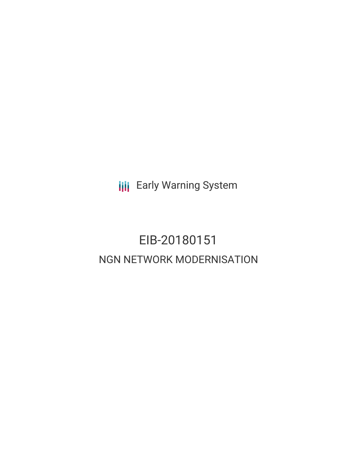**III** Early Warning System

## EIB-20180151 NGN NETWORK MODERNISATION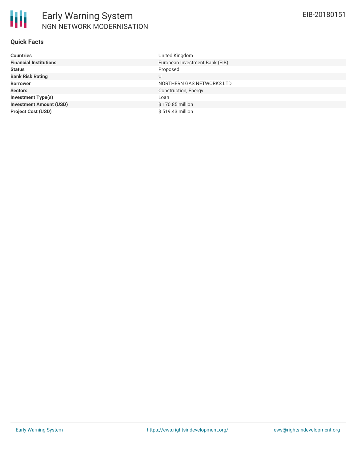

### **Quick Facts**

| European Investment Bank (EIB)<br>Proposed<br>U<br>NORTHERN GAS NETWORKS LTD<br>Construction, Energy<br>Loan<br>\$170.85 million | <b>Countries</b>               | United Kingdom   |
|----------------------------------------------------------------------------------------------------------------------------------|--------------------------------|------------------|
|                                                                                                                                  | <b>Financial Institutions</b>  |                  |
|                                                                                                                                  | <b>Status</b>                  |                  |
|                                                                                                                                  | <b>Bank Risk Rating</b>        |                  |
|                                                                                                                                  | <b>Borrower</b>                |                  |
|                                                                                                                                  | <b>Sectors</b>                 |                  |
|                                                                                                                                  | <b>Investment Type(s)</b>      |                  |
|                                                                                                                                  | <b>Investment Amount (USD)</b> |                  |
|                                                                                                                                  | <b>Project Cost (USD)</b>      | \$519.43 million |
|                                                                                                                                  |                                |                  |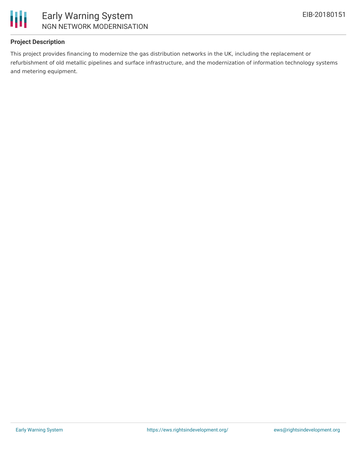

### **Project Description**

This project provides financing to modernize the gas distribution networks in the UK, including the replacement or refurbishment of old metallic pipelines and surface infrastructure, and the modernization of information technology systems and metering equipment.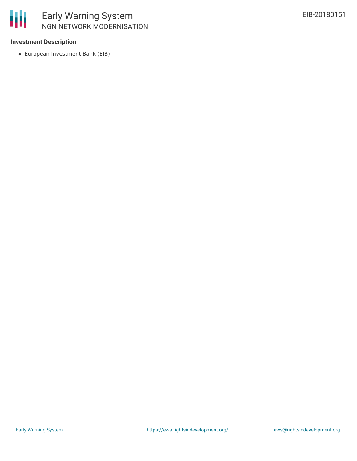

### **Investment Description**

European Investment Bank (EIB)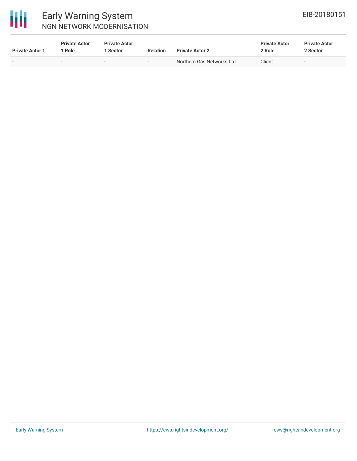

# 冊

### Early Warning System NGN NETWORK MODERNISATION

| <b>Private Actor 1</b> | <b>Private Actor</b><br>Role | <b>Private Actor</b><br>Sector | <b>Relation</b> | <b>Private Actor 2</b>    | <b>Private Actor</b><br>2 Role | <b>Private Actor</b><br>2 Sector |
|------------------------|------------------------------|--------------------------------|-----------------|---------------------------|--------------------------------|----------------------------------|
| $\sim$                 | $\sim$                       |                                |                 | Northern Gas Networks Ltd | Client                         | . .                              |